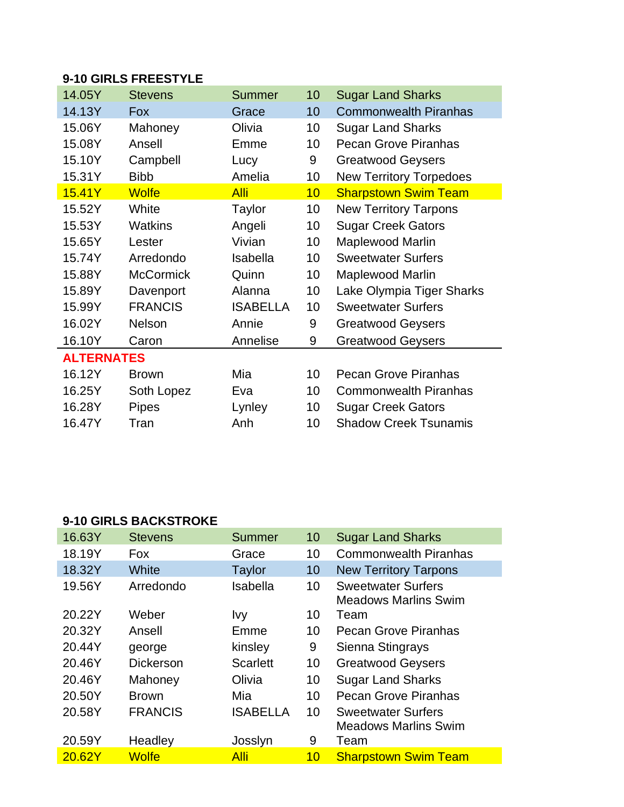## **9-10 GIRLS FREESTYLE**

| 14.05Y            | <b>Stevens</b>   | <b>Summer</b>   | 10 | <b>Sugar Land Sharks</b>       |  |  |
|-------------------|------------------|-----------------|----|--------------------------------|--|--|
| 14.13Y            | Fox              | Grace           | 10 | <b>Commonwealth Piranhas</b>   |  |  |
| 15.06Y            | Mahoney          | Olivia          | 10 | <b>Sugar Land Sharks</b>       |  |  |
| 15.08Y            | Ansell           | Emme            | 10 | <b>Pecan Grove Piranhas</b>    |  |  |
| 15.10Y            | Campbell         | Lucy            | 9  | <b>Greatwood Geysers</b>       |  |  |
| 15.31Y            | <b>Bibb</b>      | Amelia          | 10 | <b>New Territory Torpedoes</b> |  |  |
| 15.41Y            | <b>Wolfe</b>     | <b>Alli</b>     | 10 | <b>Sharpstown Swim Team</b>    |  |  |
| 15.52Y            | White            | Taylor          | 10 | <b>New Territory Tarpons</b>   |  |  |
| 15.53Y            | <b>Watkins</b>   | Angeli          | 10 | <b>Sugar Creek Gators</b>      |  |  |
| 15.65Y            | Lester           | Vivian          | 10 | <b>Maplewood Marlin</b>        |  |  |
| 15.74Y            | Arredondo        | Isabella        | 10 | <b>Sweetwater Surfers</b>      |  |  |
| 15.88Y            | <b>McCormick</b> | Quinn           | 10 | <b>Maplewood Marlin</b>        |  |  |
| 15.89Y            | Davenport        | Alanna          | 10 | Lake Olympia Tiger Sharks      |  |  |
| 15.99Y            | <b>FRANCIS</b>   | <b>ISABELLA</b> | 10 | <b>Sweetwater Surfers</b>      |  |  |
| 16.02Y            | <b>Nelson</b>    | Annie           | 9  | <b>Greatwood Geysers</b>       |  |  |
| 16.10Y            | Caron            | Annelise        | 9  | <b>Greatwood Geysers</b>       |  |  |
| <b>ALTERNATES</b> |                  |                 |    |                                |  |  |
| 16.12Y            | <b>Brown</b>     | Mia             | 10 | <b>Pecan Grove Piranhas</b>    |  |  |
| 16.25Y            | Soth Lopez       | Eva             | 10 | <b>Commonwealth Piranhas</b>   |  |  |
| 16.28Y            | <b>Pipes</b>     | Lynley          | 10 | <b>Sugar Creek Gators</b>      |  |  |
| 16.47Y            | Tran             | Anh             | 10 | <b>Shadow Creek Tsunamis</b>   |  |  |

## **9-10 GIRLS BACKSTROKE**

| 16.63Y | <b>Stevens</b>   | <b>Summer</b>   | 10              | <b>Sugar Land Sharks</b>                                 |
|--------|------------------|-----------------|-----------------|----------------------------------------------------------|
| 18.19Y | <b>Fox</b>       | Grace           | 10              | <b>Commonwealth Piranhas</b>                             |
| 18.32Y | White            | <b>Taylor</b>   | 10              | <b>New Territory Tarpons</b>                             |
| 19.56Y | Arredondo        | Isabella        | 10              | <b>Sweetwater Surfers</b><br><b>Meadows Marlins Swim</b> |
| 20.22Y | Weber            | <u>Ivy</u>      | 10              | Team                                                     |
| 20.32Y | Ansell           | Emme            | 10              | <b>Pecan Grove Piranhas</b>                              |
| 20.44Y | george           | kinsley         | 9               | Sienna Stingrays                                         |
| 20.46Y | <b>Dickerson</b> | <b>Scarlett</b> | 10              | <b>Greatwood Geysers</b>                                 |
| 20.46Y | Mahoney          | Olivia          | 10              | <b>Sugar Land Sharks</b>                                 |
| 20.50Y | <b>Brown</b>     | Mia             | 10 <sup>°</sup> | <b>Pecan Grove Piranhas</b>                              |
| 20.58Y | <b>FRANCIS</b>   | <b>ISABELLA</b> | 10              | <b>Sweetwater Surfers</b><br><b>Meadows Marlins Swim</b> |
| 20.59Y | Headley          | Josslyn         | 9               | Team                                                     |
| 20.62Y | <b>Wolfe</b>     | <b>Alli</b>     | 10              | <b>Sharpstown Swim Team</b>                              |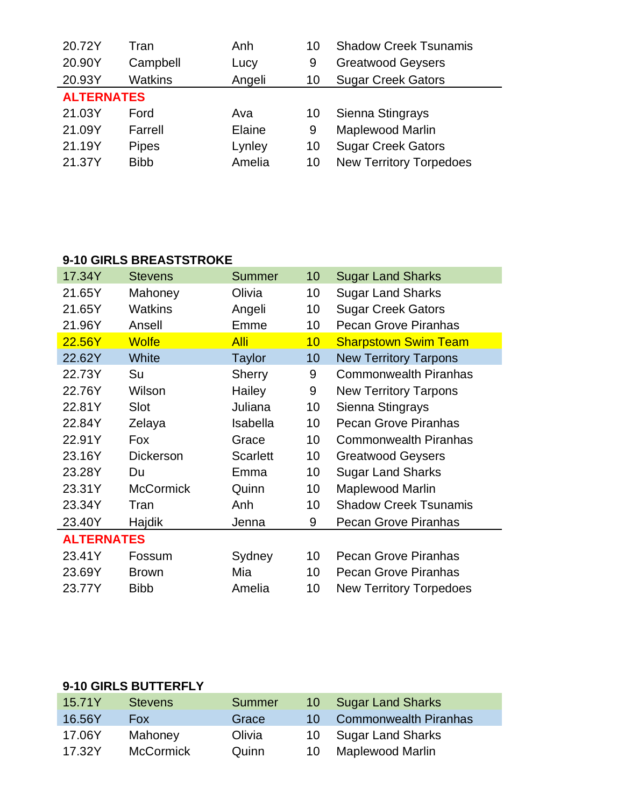| 20.72Y            | Tran           | Anh    | 10 | <b>Shadow Creek Tsunamis</b>   |  |  |
|-------------------|----------------|--------|----|--------------------------------|--|--|
| 20.90Y            | Campbell       | Lucy   | 9  | <b>Greatwood Geysers</b>       |  |  |
| 20.93Y            | <b>Watkins</b> | Angeli | 10 | <b>Sugar Creek Gators</b>      |  |  |
| <b>ALTERNATES</b> |                |        |    |                                |  |  |
| 21.03Y            | Ford           | Ava    | 10 | Sienna Stingrays               |  |  |
| 21.09Y            | Farrell        | Elaine | 9  | <b>Maplewood Marlin</b>        |  |  |
| 21.19Y            | <b>Pipes</b>   | Lynley | 10 | <b>Sugar Creek Gators</b>      |  |  |
| 21.37Y            | <b>Bibb</b>    | Amelia | 10 | <b>New Territory Torpedoes</b> |  |  |

## **9-10 GIRLS BREASTSTROKE**

| 17.34Y            | <b>Stevens</b>   | <b>Summer</b>   | 10              | <b>Sugar Land Sharks</b>       |  |
|-------------------|------------------|-----------------|-----------------|--------------------------------|--|
| 21.65Y            | Mahoney          | Olivia          | 10              | <b>Sugar Land Sharks</b>       |  |
| 21.65Y            | <b>Watkins</b>   | Angeli          | 10              | <b>Sugar Creek Gators</b>      |  |
| 21.96Y            | Ansell           | Emme            | 10              | <b>Pecan Grove Piranhas</b>    |  |
| 22.56Y            | <b>Wolfe</b>     | <b>Alli</b>     | 10              | <b>Sharpstown Swim Team</b>    |  |
| 22.62Y            | White            | <b>Taylor</b>   | 10              | <b>New Territory Tarpons</b>   |  |
| 22.73Y            | Su               | <b>Sherry</b>   | 9               | <b>Commonwealth Piranhas</b>   |  |
| 22.76Y            | Wilson           | Hailey          | 9               | <b>New Territory Tarpons</b>   |  |
| 22.81Y            | Slot             | Juliana         | 10              | Sienna Stingrays               |  |
| 22.84Y            | Zelaya           | Isabella        | 10 <sup>°</sup> | <b>Pecan Grove Piranhas</b>    |  |
| 22.91Y            | <b>Fox</b>       | Grace           | 10              | <b>Commonwealth Piranhas</b>   |  |
| 23.16Y            | <b>Dickerson</b> | <b>Scarlett</b> | 10              | <b>Greatwood Geysers</b>       |  |
| 23.28Y            | Du               | Emma            | 10              | <b>Sugar Land Sharks</b>       |  |
| 23.31Y            | <b>McCormick</b> | Quinn           | 10              | <b>Maplewood Marlin</b>        |  |
| 23.34Y            | Tran             | Anh             | 10              | <b>Shadow Creek Tsunamis</b>   |  |
| 23.40Y            | Hajdik           | Jenna           | 9               | <b>Pecan Grove Piranhas</b>    |  |
| <b>ALTERNATES</b> |                  |                 |                 |                                |  |
| 23.41Y            | Fossum           | Sydney          | 10              | <b>Pecan Grove Piranhas</b>    |  |
| 23.69Y            | <b>Brown</b>     | Mia             | 10              | Pecan Grove Piranhas           |  |
| 23.77Y            | <b>Bibb</b>      | Amelia          | 10              | <b>New Territory Torpedoes</b> |  |

## **9-10 GIRLS BUTTERFLY**

| 15.71Y | <b>Stevens</b>   | Summer | $10 -$ | <b>Sugar Land Sharks</b>     |
|--------|------------------|--------|--------|------------------------------|
| 16.56Y | Fox.             | Grace  | $10 -$ | <b>Commonwealth Piranhas</b> |
| 17.06Y | Mahoney          | Olivia |        | 10 Sugar Land Sharks         |
| 17.32Y | <b>McCormick</b> | Quinn  | 10     | Maplewood Marlin             |